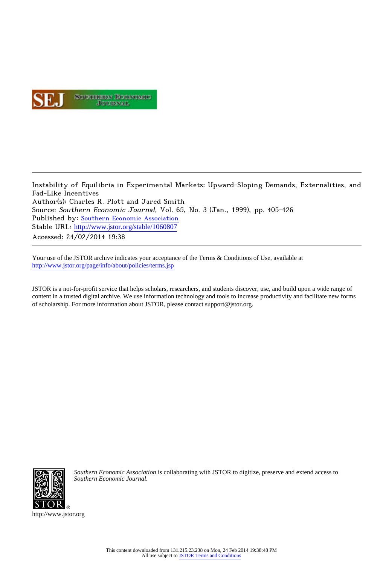

Instability of Equilibria in Experimental Markets: Upward-Sloping Demands, Externalities, and Fad-Like Incentives Author(s): Charles R. Plott and Jared Smith Source: Southern Economic Journal, Vol. 65, No. 3 (Jan., 1999), pp. 405-426 Published by: [Southern Economic Association](http://www.jstor.org/action/showPublisher?publisherCode=sea) Stable URL: [http://www.jstor.org/stable/1060807](http://www.jstor.org/stable/1060807?origin=JSTOR-pdf) Accessed: 24/02/2014 19:38

Your use of the JSTOR archive indicates your acceptance of the Terms & Conditions of Use, available at <http://www.jstor.org/page/info/about/policies/terms.jsp>

JSTOR is a not-for-profit service that helps scholars, researchers, and students discover, use, and build upon a wide range of content in a trusted digital archive. We use information technology and tools to increase productivity and facilitate new forms of scholarship. For more information about JSTOR, please contact support@jstor.org.



*Southern Economic Association* is collaborating with JSTOR to digitize, preserve and extend access to *Southern Economic Journal.*

http://www.jstor.org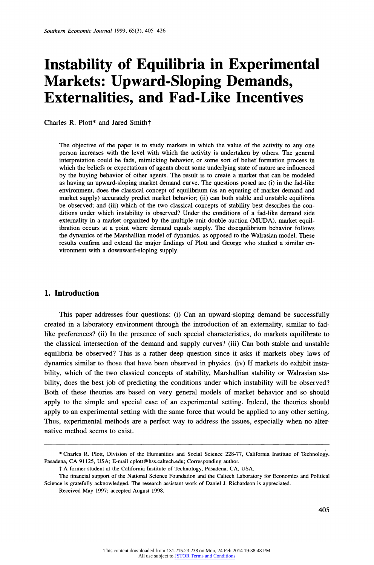# **Instability of Equilibria in Experimental Markets: Upward-Sloping Demands, Externalities, and Fad-Like Incentives**

**Charles R. Plott\* and Jared Smitht** 

**The objective of the paper is to study markets in which the value of the activity to any one person increases with the level with which the activity is undertaken by others. The general interpretation could be fads, mimicking behavior, or some sort of belief formation process in which the beliefs or expectations of agents about some underlying state of nature are influenced by the buying behavior of other agents. The result is to create a market that can be modeled as having an upward-sloping market demand curve. The questions posed are (i) in the fad-like environment, does the classical concept of equilibrium (as an equating of market demand and market supply) accurately predict market behavior; (ii) can both stable and unstable equilibria be observed; and (iii) which of the two classical concepts of stability best describes the conditions under which instability is observed? Under the conditions of a fad-like demand side externality in a market organized by the multiple unit double auction (MUDA), market equilibration occurs at a point where demand equals supply. The disequilibrium behavior follows the dynamics of the Marshallian model of dynamics, as opposed to the Walrasian model. These results confirm and extend the major findings of Plott and George who studied a similar environment with a downward-sloping supply.** 

#### **1. Introduction**

**This paper addresses four questions: (i) Can an upward-sloping demand be successfully created in a laboratory environment through the introduction of an externality, similar to fadlike preferences? (ii) In the presence of such special characteristics, do markets equilibrate to the classical intersection of the demand and supply curves? (iii) Can both stable and unstable equilibria be observed? This is a rather deep question since it asks if markets obey laws of dynamics similar to those that have been observed in physics. (iv) If markets do exhibit instability, which of the two classical concepts of stability, Marshallian stability or Walrasian stability, does the best job of predicting the conditions under which instability will be observed? Both of these theories are based on very general models of market behavior and so should apply to the simple and special case of an experimental setting. Indeed, the theories should apply to an experimental setting with the same force that would be applied to any other setting. Thus, experimental methods are a perfect way to address the issues, especially when no alternative method seems to exist.** 

**<sup>\*</sup> Charles R. Plott, Division of the Humanities and Social Science 228-77, California Institute of Technology, Pasadena, CA 91125, USA; E-mail cplott@hss.caltech.edu; Corresponding author.** 

**t A former student at the California Institute of Technology, Pasadena, CA, USA.** 

**The financial support of the National Science Foundation and the Caltech Laboratory for Economics and Political Science is gratefully acknowledged. The research assistant work of Daniel J. Richardson is appreciated.** 

**Received May 1997; accepted August 1998.**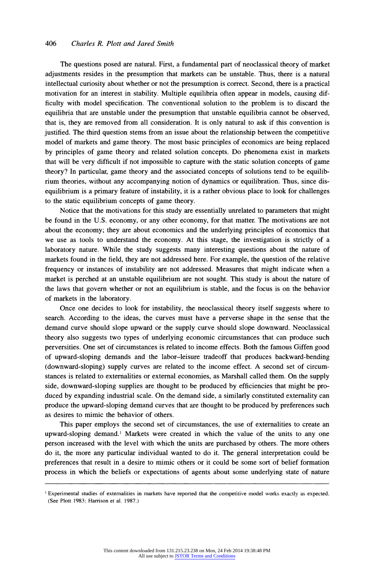## **406 Charles R. Plott and Jared Smith**

**The questions posed are natural. First, a fundamental part of neoclassical theory of market adjustments resides in the presumption that markets can be unstable. Thus, there is a natural intellectual curiosity about whether or not the presumption is correct. Second, there is a practical motivation for an interest in stability. Multiple equilibria often appear in models, causing difficulty with model specification. The conventional solution to the problem is to discard the equilibria that are unstable under the presumption that unstable equilibria cannot be observed, that is, they are removed from all consideration. It is only natural to ask if this convention is justified. The third question stems from an issue about the relationship between the competitive model of markets and game theory. The most basic principles of economics are being replaced by principles of game theory and related solution concepts. Do phenomena exist in markets that will be very difficult if not impossible to capture with the static solution concepts of game theory? In particular, game theory and the associated concepts of solutions tend to be equilibrium theories, without any accompanying notion of dynamics or equilibration. Thus, since disequilibrium is a primary feature of instability, it is a rather obvious place to look for challenges to the static equilibrium concepts of game theory.** 

**Notice that the motivations for this study are essentially unrelated to parameters that might be found in the U.S. economy, or any other economy, for that matter. The motivations are not about the economy; they are about economics and the underlying principles of economics that we use as tools to understand the economy. At this stage, the investigation is strictly of a**  laboratory nature. While the study suggests many interesting questions about the nature of **markets found in the field, they are not addressed here. For example, the question of the relative frequency or instances of instability are not addressed. Measures that might indicate when a market is perched at an unstable equilibrium are not sought. This study is about the nature of the laws that govern whether or not an equilibrium is stable, and the focus is on the behavior of markets in the laboratory.** 

**Once one decides to look for instability, the neoclassical theory itself suggests where to search. According to the ideas, the curves must have a perverse shape in the sense that the demand curve should slope upward or the supply curve should slope downward. Neoclassical theory also suggests two types of underlying economic circumstances that can produce such perversities. One set of circumstances is related to income effects. Both the famous Giffen good of upward-sloping demands and the labor-leisure tradeoff that produces backward-bending (downward-sloping) supply curves are related to the income effect. A second set of circumstances is related to externalities or external economies, as Marshall called them. On the supply side, downward-sloping supplies are thought to be produced by efficiencies that might be produced by expanding industrial scale. On the demand side, a similarly constituted externality can produce the upward-sloping demand curves that are thought to be produced by preferences such as desires to mimic the behavior of others.** 

**This paper employs the second set of circumstances, the use of externalities to create an upward-sloping demand.1 Markets were created in which the value of the units to any one person increased with the level with which the units are purchased by others. The more others do it, the more any particular individual wanted to do it. The general interpretation could be preferences that result in a desire to mimic others or it could be some sort of belief formation process in which the beliefs or expectations of agents about some underlying state of nature** 

**<sup>&#</sup>x27;Experimental studies of externalities in markets have reported that the competitive model works exactly as expected. (See Plott 1983; Harrison et al. 1987.)**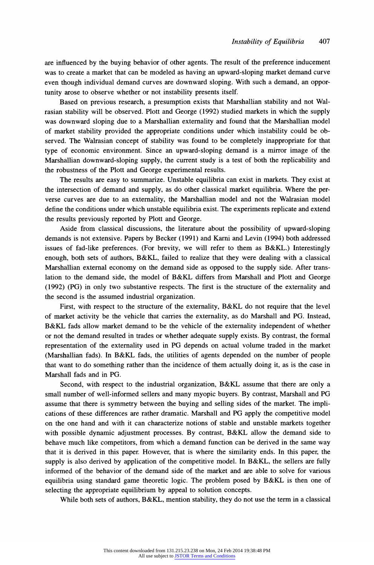**are influenced by the buying behavior of other agents. The result of the preference inducement was to create a market that can be modeled as having an upward-sloping market demand curve even though individual demand curves are downward sloping. With such a demand, an opportunity arose to observe whether or not instability presents itself.** 

**Based on previous research, a presumption exists that Marshallian stability and not Walrasian stability will be observed. Plott and George (1992) studied markets in which the supply was downward sloping due to a Marshallian externality and found that the Marshallian model of market stability provided the appropriate conditions under which instability could be observed. The Walrasian concept of stability was found to be completely inappropriate for that type of economic environment. Since an upward-sloping demand is a mirror image of the Marshallian downward-sloping supply, the current study is a test of both the replicability and the robustness of the Plott and George experimental results.** 

**The results are easy to summarize. Unstable equilibria can exist in markets. They exist at the intersection of demand and supply, as do other classical market equilibria. Where the perverse curves are due to an externality, the Marshallian model and not the Walrasian model define the conditions under which unstable equilibria exist. The experiments replicate and extend the results previously reported by Plott and George.** 

**Aside from classical discussions, the literature about the possibility of upward-sloping demands is not extensive. Papers by Becker (1991) and Karni and Levin (1994) both addressed issues of fad-like preferences. (For brevity, we will refer to them as B&KL.) Interestingly enough, both sets of authors, B&KL, failed to realize that they were dealing with a classical Marshallian external economy on the demand side as opposed to the supply side. After translation to the demand side, the model of B&KL differs from Marshall and Plott and George (1992) (PG) in only two substantive respects. The first is the structure of the externality and the second is the assumed industrial organization.** 

**First, with respect to the structure of the externality, B&KL do not require that the level of market activity be the vehicle that carries the externality, as do Marshall and PG. Instead, B&KL fads allow market demand to be the vehicle of the externality independent of whether or not the demand resulted in trades or whether adequate supply exists. By contrast, the formal representation of the externality used in PG depends on actual volume traded in the market (Marshallian fads). In B&KL fads, the utilities of agents depended on the number of people that want to do something rather than the incidence of them actually doing it, as is the case in Marshall fads and in PG.** 

**Second, with respect to the industrial organization, B&KL assume that there are only a small number of well-informed sellers and many myopic buyers. By contrast, Marshall and PG assume that there is symmetry between the buying and selling sides of the market. The implications of these differences are rather dramatic. Marshall and PG apply the competitive model on the one hand and with it can characterize notions of stable and unstable markets together with possible dynamic adjustment processes. By contrast, B&KL allow the demand side to behave much like competitors, from which a demand function can be derived in the same way that it is derived in this paper. However, that is where the similarity ends. In this paper, the supply is also derived by application of the competitive model. In B&KL, the sellers are fully informed of the behavior of the demand side of the market and are able to solve for various equilibria using standard game theoretic logic. The problem posed by B&KL is then one of selecting the appropriate equilibrium by appeal to solution concepts.** 

**While both sets of authors, B&KL, mention stability, they do not use the term in a classical**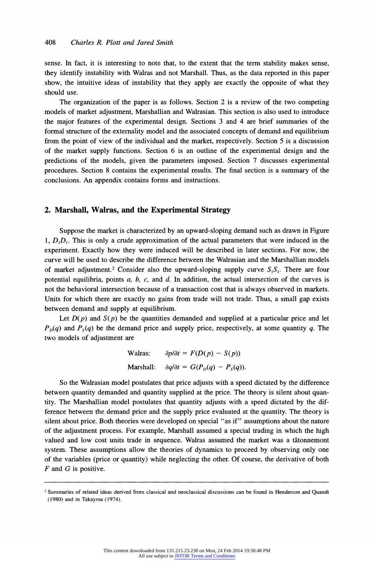**sense. In fact, it is interesting to note that, to the extent that the term stability makes sense, they identify instability with Walras and not Marshall. Thus, as the data reported in this paper show, the intuitive ideas of instability that they apply are exactly the opposite of what they should use.** 

**The organization of the paper is as follows. Section 2 is a review of the two competing models of market adjustment, Marshallian and Walrasian. This section is also used to introduce the major features of the experimental design. Sections 3 and 4 are brief summaries of the formal structure of the externality model and the associated concepts of demand and equilibrium from the point of view of the individual and the market, respectively. Section 5 is a discussion of the market supply functions. Section 6 is an outline of the experimental design and the predictions of the models, given the parameters imposed. Section 7 discusses experimental procedures. Section 8 contains the experimental results. The final section is a summary of the conclusions. An appendix contains forms and instructions.** 

#### **2. Marshall, Walras, and the Experimental Strategy**

**Suppose the market is characterized by an upward-sloping demand such as drawn in Figure**  1,  $D_1D_1$ . This is only a crude approximation of the actual parameters that were induced in the **experiment. Exactly how they were induced will be described in later sections. For now, the curve will be used to describe the difference between the Walrasian and the Marshallian models**  of market adjustment.<sup>2</sup> Consider also the upward-sloping supply curve  $S_1S_1$ . There are four **potential equilibria, points a, b, c, and d. In addition, the actual intersection of the curves is not the behavioral intersection because of a transaction cost that is always observed in markets. Units for which there are exactly no gains from trade will not trade. Thus, a small gap exists between demand and supply at equilibrium.** 

Let  $D(p)$  and  $S(p)$  be the quantities demanded and supplied at a particular price and let  $P_D(q)$  and  $P_S(q)$  be the demand price and supply price, respectively, at some quantity q. The **two models of adjustment are** 

Walras: 
$$
\partial p/\partial t = F(D(p) - S(p))
$$
  
Marshall:  $\partial q/\partial t = G(P_D(q) - P_S(q)).$ 

**So the Walrasian model postulates that price adjusts with a speed dictated by the difference between quantity demanded and quantity supplied at the price. The theory is silent about quantity. The Marshallian model postulates that quantity adjusts with a speed dictated by the difference between the demand price and the supply price evaluated at the quantity. The theory is silent about price. Both theories were developed on special "as if" assumptions about the nature of the adjustment process. For example, Marshall assumed a special trading in which the high valued and low cost units trade in sequence. Walras assumed the market was a tatonnemont system. These assumptions allow the theories of dynamics to proceed by observing only one of the variables (price or quantity) while neglecting the other. Of course, the derivative of both F and G is positive.** 

**<sup>2</sup> Summaries of related ideas derived from classical and neoclassical discussions can be found in Henderson and Quandt (1980) and in Takayma (1974).**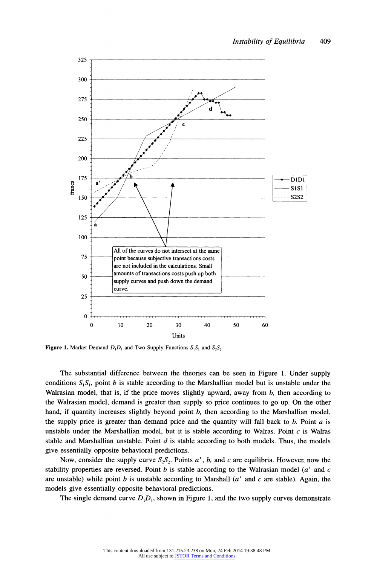

**Figure 1.** Market Demand  $D_1D_1$  and Two Supply Functions  $S_1S_1$  and  $S_2S_2$ 

**The substantial difference between the theories can be seen in Figure 1. Under supply**  conditions  $S_1S_1$ , point *b* is stable according to the Marshallian model but is unstable under the Walrasian model, that is, if the price moves slightly upward, away from b, then according to **the Walrasian model, demand is greater than supply so price continues to go up. On the other**  hand, if quantity increases slightly beyond point b, then according to the Marshallian model, **the supply price is greater than demand price and the quantity will fall back to b. Point a is unstable under the Marshallian model, but it is stable according to Walras. Point c is Walras**  stable and Marshallian unstable. Point  $d$  is stable according to both models. Thus, the models **give essentially opposite behavioral predictions.** 

Now, consider the supply curve  $S_2S_2$ . Points  $a'$ ,  $b$ , and  $c$  are equilibria. However, now the **stability properties are reversed. Point b is stable according to the Walrasian model (a' and c**  are unstable) while point  $b$  is unstable according to Marshall  $(a'$  and  $c$  are stable). Again, the **models give essentially opposite behavioral predictions.** 

The single demand curve  $D_1D_1$ , shown in Figure 1, and the two supply curves demonstrate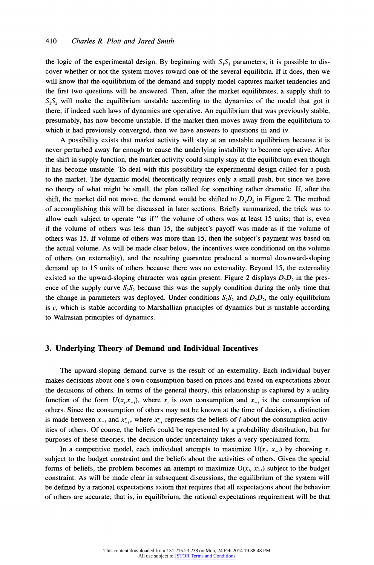the logic of the experimental design. By beginning with  $S_1S_1$  parameters, it is possible to dis**cover whether or not the system moves toward one of the several equilibria. If it does, then we will know that the equilibrium of the demand and supply model captures market tendencies and the first two questions will be answered. Then, after the market equilibrates, a supply shift to**   $S_2S_2$  will make the equilibrium unstable according to the dynamics of the model that got it **there, if indeed such laws of dynamics are operative. An equilibrium that was previously stable, presumably, has now become unstable. If the market then moves away from the equilibrium to which it had previously converged, then we have answers to questions iii and iv.** 

**A possibility exists that market activity will stay at an unstable equilibrium because it is never perturbed away far enough to cause the underlying instability to become operative. After the shift in supply function, the market activity could simply stay at the equilibrium even though it has become unstable. To deal with this possibility the experimental design called for a push to the market. The dynamic model theoretically requires only a small push, but since we have no theory of what might be small, the plan called for something rather dramatic. If, after the**  shift, the market did not move, the demand would be shifted to  $D_2D_2$  in Figure 2. The method **of accomplishing this will be discussed in later sections. Briefly summarized, the trick was to allow each subject to operate "as if" the volume of others was at least 15 units; that is, even if the volume of others was less than 15, the subject's payoff was made as if the volume of others was 15. If volume of others was more than 15, then the subject's payment was based on the actual volume. As will be made clear below, the incentives were conditioned on the volume of others (an externality), and the resulting guarantee produced a normal downward-sloping demand up to 15 units of others because there was no externality. Beyond 15, the externality**  existed so the upward-sloping character was again present. Figure 2 displays  $D_2D_2$  in the presence of the supply curve  $S_2S_2$  because this was the supply condition during the only time that the change in parameters was deployed. Under conditions  $S_2S_2$  and  $D_2D_2$ , the only equilibrium **is c, which is stable according to Marshallian principles of dynamics but is unstable according to Walrasian principles of dynamics.** 

#### **3. Underlying Theory of Demand and Individual Incentives**

**The upward-sloping demand curve is the result of an externality. Each individual buyer makes decisions about one's own consumption based on prices and based on expectations about the decisions of others. In terms of the general theory, this relationship is captured by a utility**  function of the form  $U(x_i,x_{-i})$ , where  $x_i$  is own consumption and  $x_{-i}$  is the consumption of **others. Since the consumption of others may not be known at the time of decision, a distinction**  is made between  $x_{-i}$  and  $x_{-i}^e$ , where  $x_{-i}^e$  represents the beliefs of i about the consumption activ**ities of others. Of course, the beliefs could be represented by a probability distribution, but for purposes of these theories, the decision under uncertainty takes a very specialized form.** 

In a competitive model, each individual attempts to maximize  $U(x_i, x_{-i})$  by choosing  $x_i$ **subject to the budget constraint and the beliefs about the activities of others. Given the special**  forms of beliefs, the problem becomes an attempt to maximize  $U(x_i, x_{i})$  subject to the budget **constraint. As will be made clear in subsequent discussions, the equilibrium of the system will be defined by a rational expectations axiom that requires that all expectations about the behavior of others are accurate; that is, in equilibrium, the rational expectations requirement will be that**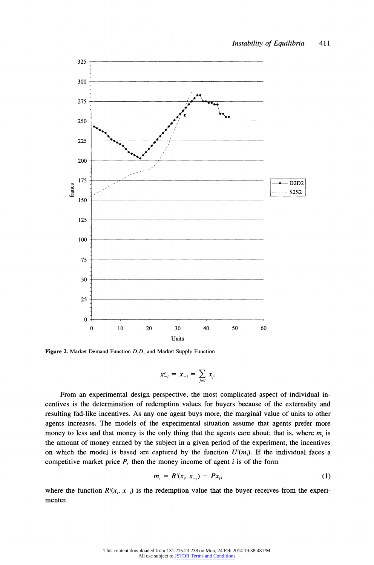

**Figure 2.** Market Demand Function  $D_1D_1$  and Market Supply Function

$$
x_{-i}^e = x_{-i} = \sum_{j \neq i} x_j.
$$

**From an experimental design perspective, the most complicated aspect of individual incentives is the determination of redemption values for buyers because of the externality and resulting fad-like incentives. As any one agent buys more, the marginal value of units to other agents increases. The models of the experimental situation assume that agents prefer more**  money to less and that money is the only thing that the agents care about; that is, where  $m<sub>i</sub>$  is **the amount of money earned by the subject in a given period of the experiment, the incentives**  on which the model is based are captured by the function  $U'(m_i)$ . If the individual faces a **competitive market price P, then the money income of agent i is of the form** 

$$
m_i = R^i(x_i, x_{-i}) - Px_i, \qquad (1)
$$

where the function  $R^{i}(x_i, x_{-i})$  is the redemption value that the buyer receives from the experi**menter.**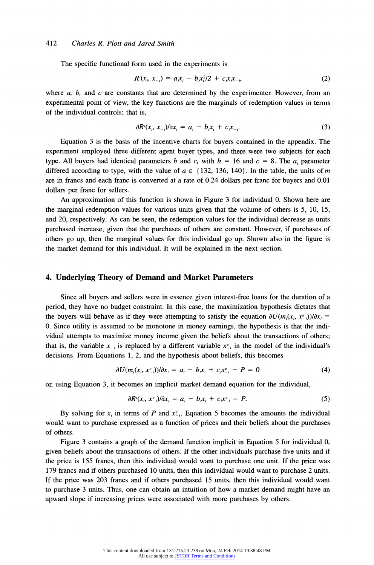**The specific functional form used in the experiments is** 

$$
R^{i}(x_{i}, x_{-i}) = a_{i}x_{i} - b_{i}x_{i}^{2}/2 + c_{i}x_{i}x_{-i}, \qquad (2)
$$

where a, b, and c are constants that are determined by the experimenter. However, from an **experimental point of view, the key functions are the marginals of redemption values in terms of the individual controls; that is,** 

$$
\partial R^i(x_i, x_{-i})/\partial x_i = a_i - b_i x_i + c_i x_{-i}.
$$
\n(3)

**Equation 3 is the basis of the incentive charts for buyers contained in the appendix. The experiment employed three different agent buyer types, and there were two subjects for each**  type. All buyers had identical parameters b and c, with  $b = 16$  and  $c = 8$ . The  $a_i$  parameter differed according to type, with the value of  $a \in \{132, 136, 140\}$ . In the table, the units of m **are in francs and each franc is converted at a rate of 0.24 dollars per franc for buyers and 0.01 dollars per franc for sellers.** 

**An approximation of this function is shown in Figure 3 for individual 0. Shown here are the marginal redemption values for various units given that the volume of others is 5, 10, 15, and 20, respectively. As can be seen, the redemption values for the individual decrease as units purchased increase, given that the purchases of others are constant. However, if purchases of others go up, then the marginal values for this individual go up. Shown also in the figure is the market demand for this individual. It will be explained in the next section.** 

#### **4. Underlying Theory of Demand and Market Parameters**

**Since all buyers and sellers were in essence given interest-free loans for the duration of a period, they have no budget constraint. In this case, the maximization hypothesis dictates that**  the buyers will behave as if they were attempting to satisfy the equation  $\partial U(m_i(x_i, x_{-i}))/\partial x_i =$ **0. Since utility is assumed to be monotone in money earnings, the hypothesis is that the individual attempts to maximize money income given the beliefs about the transactions of others;**  that is, the variable  $x_{-i}$  is replaced by a different variable  $x_{-i}$  in the model of the individual's **decisions. From Equations 1, 2, and the hypothesis about beliefs, this becomes** 

$$
\partial U(m_i(x_i, x_{-i}^e))/\partial x_i = a_i - b_i x_i + c_i x_{-i}^e - P = 0 \qquad (4)
$$

**or, using Equation 3, it becomes an implicit market demand equation for the individual,** 

$$
\partial R^i(x_i, x_{-i}^e)/\partial x_i = a_i - b_i x_i + c_i x_{-i}^e = P. \tag{5}
$$

By solving for  $x_i$  in terms of P and  $x_i$ . Equation 5 becomes the amounts the individual **would want to purchase expressed as a function of prices and their beliefs about the purchases of others.** 

**Figure 3 contains a graph of the demand function implicit in Equation 5 for individual 0, given beliefs about the transactions of others. If the other individuals purchase five units and if the price is 155 francs, then this individual would want to purchase one unit. If the price was 179 francs and if others purchased 10 units, then this individual would want to purchase 2 units. If the price was 203 francs and if others purchased 15 units, then this individual would want to purchase 3 units. Thus, one can obtain an intuition of how a market demand might have an upward slope if increasing prices were associated with more purchases by others.**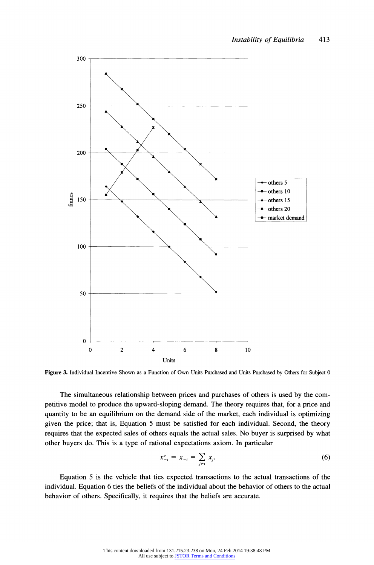

**Figure 3. Individual Incentive Shown as a Function of Own Units Purchased and Units Purchased by Others for Subject 0** 

**The simultaneous relationship between prices and purchases of others is used by the competitive model to produce the upward-sloping demand. The theory requires that, for a price and quantity to be an equilibrium on the demand side of the market, each individual is optimizing given the price; that is, Equation 5 must be satisfied for each individual. Second, the theory requires that the expected sales of others equals the actual sales. No buyer is surprised by what other buyers do. This is a type of rational expectations axiom. In particular** 

$$
x_{-i}^e = x_{-i} = \sum_{j \neq i} x_j. \tag{6}
$$

**Equation 5 is the vehicle that ties expected transactions to the actual transactions of the individual. Equation 6 ties the beliefs of the individual about the behavior of others to the actual behavior of others. Specifically, it requires that the beliefs are accurate.**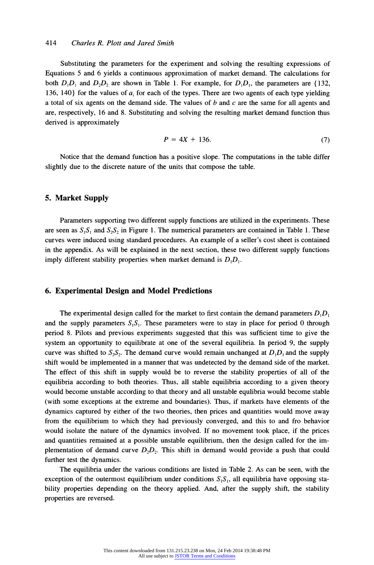#### **414 Charles R. Plott and Jared Smith**

**Substituting the parameters for the experiment and solving the resulting expressions of Equations 5 and 6 yields a continuous approximation of market demand. The calculations for**  both  $D_1D_1$  and  $D_2D_2$  are shown in Table 1. For example, for  $D_1D_1$ , the parameters are {132, 136, 140} for the values of  $a_i$  for each of the types. There are two agents of each type yielding **a total of six agents on the demand side. The values of b and c are the same for all agents and are, respectively, 16 and 8. Substituting and solving the resulting market demand function thus derived is approximately** 

$$
P = 4X + 136.\t(7)
$$

**Notice that the demand function has a positive slope. The computations in the table differ slightly due to the discrete nature of the units that compose the table.** 

#### **5. Market Supply**

**Parameters supporting two different supply functions are utilized in the experiments. These**  are seen as  $S_1S_1$  and  $S_2S_2$  in Figure 1. The numerical parameters are contained in Table 1. These **curves were induced using standard procedures. An example of a seller's cost sheet is contained in the appendix. As will be explained in the next section, these two different supply functions**  imply different stability properties when market demand is  $D_1D_1$ .

#### **6. Experimental Design and Model Predictions**

The experimental design called for the market to first contain the demand parameters  $D_1D_1$ and the supply parameters  $S_1S_1$ . These parameters were to stay in place for period 0 through **period 8. Pilots and previous experiments suggested that this was sufficient time to give the system an opportunity to equilibrate at one of the several equilibria. In period 9, the supply**  curve was shifted to  $S_2S_2$ . The demand curve would remain unchanged at  $D_1D_1$  and the supply **shift would be implemented in a manner that was undetected by the demand side of the market. The effect of this shift in supply would be to reverse the stability properties of all of the equilibria according to both theories. Thus, all stable equilibria according to a given theory would become unstable according to that theory and all unstable equlibria would become stable (with some exceptions at the extreme and boundaries). Thus, if markets have elements of the dynamics captured by either of the two theories, then prices and quantities would move away from the equilibrium to which they had previously converged, and this to and fro behavior would isolate the nature of the dynamics involved. If no movement took place, if the prices and quantities remained at a possible unstable equilibrium, then the design called for the implementation of demand curve**  $D_2D_2$ **. This shift in demand would provide a push that could further test the dynamics.** 

**The equilibria under the various conditions are listed in Table 2. As can be seen, with the**  exception of the outermost equilibrium under conditions  $S_1S_1$ , all equilibria have opposing sta**bility properties depending on the theory applied. And, after the supply shift, the stability properties are reversed.**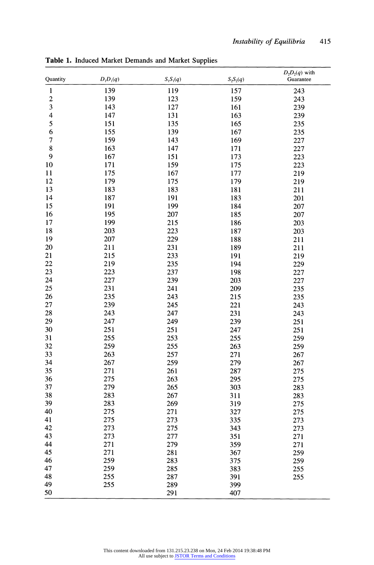| Quantity       | $D_1D_1(q)$ | $S_1S_1(q)$ | $S_2S_2(q)$ | $D_2D_2(q)$ with<br>Guarantee |
|----------------|-------------|-------------|-------------|-------------------------------|
| $\mathbf{1}$   | 139         | 119         | 157         | 243                           |
| $\overline{c}$ | 139         | 123         | 159         | 243                           |
| 3              | 143         | 127         | 161         | 239                           |
| 4              | 147         | 131         | 163         | 239                           |
| 5              | 151         | 135         | 165         | 235                           |
| 6              | 155         | 139         | 167         | 235                           |
| 7              | 159         | 143         | 169         | 227                           |
| 8              | 163         | 147         | 171         | 227                           |
| 9              | 167         | 151         | 173         | 223                           |
| 10             | 171         | 159         | 175         | 223                           |
| 11             | 175         | 167         | 177         | 219                           |
| 12             | 179         | 175         | 179         | 219                           |
| 13             | 183         | 183         | 181         | 211                           |
| 14             | 187         | 191         | 183         | 201                           |
| 15             | 191         | 199         | 184         | 207                           |
| 16             | 195         | 207         | 185         | 207                           |
| 17             | 199         | 215         | 186         | 203                           |
| 18             | 203         | 223         | 187         | 203                           |
| 19             | 207         | 229         | 188         | 211                           |
| 20             | 211         | 231         | 189         | 211                           |
| 21             | 215         | 233         | 191         | 219                           |
| 22             | 219         | 235         | 194         | 229                           |
| 23             | 223         | 237         | 198         | 227                           |
| 24             | 227         | 239         | 203         | 227                           |
| 25             | 231         | 241         | 209         | 235                           |
| 26             | 235         | 243         | 215         | 235                           |
| 27             | 239         | 245         | 221         | 243                           |
| 28             | 243         | 247         | 231         | 243                           |
| 29             | 247         | 249         | 239         | 251                           |
| 30             | 251         | 251         | 247         | 251                           |
| 31             | 255         | 253         | 255         | 259                           |
| 32             | 259         | 255         | 263         | 259                           |
| 33             | 263         | 257         | 271         | 267                           |
| 34             | 267         | 259         | 279         | 267                           |
| 35             | 271         | 261         | 287         | 275                           |
| 36             | 275         | 263         | 295         | 275                           |
| 37             | 279         | 265         | 303         | 283                           |
| 38             | 283         | 267         | 311         | 283                           |
| 39             | 283         | 269         | 319         | 275                           |
| 40             | 275         | 271         | 327         | 275                           |
| 41             | 275         | 273         | 335         | 273                           |
| 42             | 273         | 275         | 343         | 273                           |
| 43             | 273         | 277         | 351         | 271                           |
| 44             | 271         | 279         | 359         | 271                           |
| 45             | 271         | 281         | 367         | 259                           |
| 46             | 259         | 283         | 375         | 259                           |
| 47             | 259         | 285         | 383         | 255                           |
| 48             | 255         | 287         | 391         | 255                           |
| 49             | 255         | 289         | 399         |                               |
| 50             |             | 291         | 407         |                               |

**Table 1. Induced Market Demands and Market Supplies**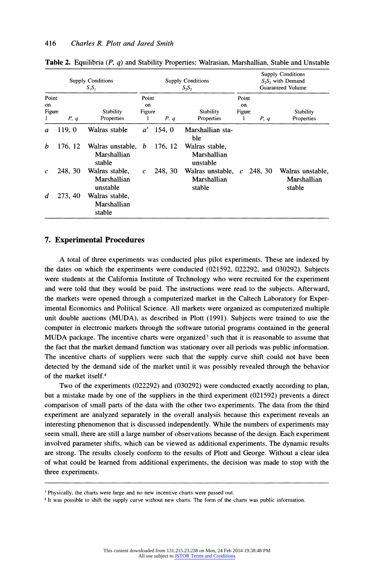|                                       |         | <b>Supply Conditions</b><br>$S_1S_1$      |                                       |         | <b>Supply Conditions</b><br>$S_2S_2$      | <b>Supply Conditions</b><br>$S_2S_2$ , with Demand<br>Guaranteed Volume |             |                                           |  |
|---------------------------------------|---------|-------------------------------------------|---------------------------------------|---------|-------------------------------------------|-------------------------------------------------------------------------|-------------|-------------------------------------------|--|
| Point<br><sub>on</sub><br>Figure<br>1 | P, q    | <b>Stability</b><br>Properties            | Point<br><sub>on</sub><br>Figure<br>1 | P, q    | <b>Stability</b><br>Properties            | Point<br><sub>on</sub><br>Figure<br>1                                   | P, q        | Stability<br>Properties                   |  |
| a                                     | 119.0   | Walras stable                             | a'                                    | 154, 0  | Marshallian sta-<br>ble                   |                                                                         |             |                                           |  |
| h                                     | 176, 12 | Walras unstable,<br>Marshallian<br>stable | $\boldsymbol{b}$                      | 176, 12 | Walras stable.<br>Marshallian<br>unstable |                                                                         |             |                                           |  |
| $\mathcal{C}$                         | 248, 30 | Walras stable,<br>Marshallian<br>unstable | $\mathcal{C}$                         | 248, 30 | Walras unstable,<br>Marshallian<br>stable |                                                                         | $c$ 248, 30 | Walras unstable,<br>Marshallian<br>stable |  |
| d                                     | 273, 40 | Walras stable,<br>Marshallian<br>stable   |                                       |         |                                           |                                                                         |             |                                           |  |

**Table 2. Equilibria (P, q) and Stability Properties: Walrasian, Marshallian, Stable and Unstable** 

#### **7. Experimental Procedures**

**A total of three experiments was conducted plus pilot experiments. These are indexed by the dates on which the experiments were conducted (021592, 022292, and 030292). Subjects were students at the California Institute of Technology who were recruited for the experiment and were told that they would be paid. The instructions were read to the subjects. Afterward, the markets were opened through a computerized market in the Caltech Laboratory for Experimental Economics and Political Science. All markets were organized as computerized multiple unit double auctions (MUDA), as described in Plott (1991). Subjects were trained to use the computer in electronic markets through the software tutorial programs contained in the general MUDA package. The incentive charts were organized3 such that it is reasonable to assume that the fact that the market demand function was stationary over all periods was public information. The incentive charts of suppliers were such that the supply curve shift could not have been detected by the demand side of the market until it was possibly revealed through the behavior of the market itself.4** 

**Two of the experiments (022292) and (030292) were conducted exactly according to plan, but a mistake made by one of the suppliers in the third experiment (021592) prevents a direct comparison of small parts of the data with the other two experiments. The data from the third experiment are analyzed separately in the overall analysis because this experiment reveals an interesting phenomenon that is discussed independently. While the numbers of experiments may seem small, there are still a large number of observations because of the design. Each experiment involved parameter shifts, which can be viewed as additional experiments. The dynamic results are strong. The results closely conform to the results of Plott and George. Without a clear idea of what could be learned from additional experiments, the decision was made to stop with the three experiments.** 

**<sup>3</sup>Physically, the charts were large and no new incentive charts were passed out.** 

**<sup>4</sup> It was possible to shift the supply curve without new charts. The form of the charts was public information.**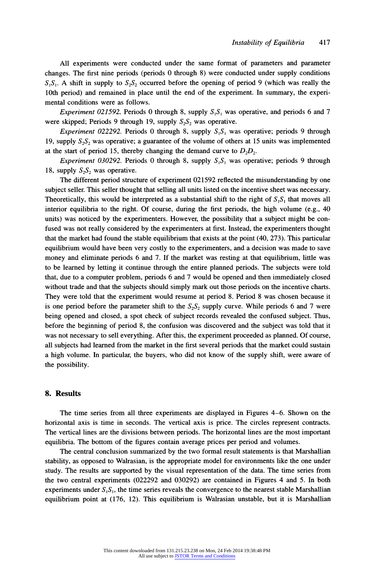**All experiments were conducted under the same format of parameters and parameter changes. The first nine periods (periods 0 through 8) were conducted under supply conditions**   $S_1S_1$ . A shift in supply to  $S_2S_2$  occurred before the opening of period 9 (which was really the **10th period) and remained in place until the end of the experiment. In summary, the experimental conditions were as follows.** 

*Experiment 021592.* Periods 0 through 8, supply  $S_1S_1$  was operative, and periods 6 and 7 were skipped; Periods 9 through 19, supply  $S_2S_2$  was operative.

*Experiment 022292.* Periods 0 through 8, supply  $S_1S_1$  was operative; periods 9 through 19, supply  $S_2S_2$  was operative; a guarantee of the volume of others at 15 units was implemented at the start of period 15, thereby changing the demand curve to  $D_2D_2$ .

Experiment 030292. Periods 0 through 8, supply  $S_1S_1$  was operative; periods 9 through 18, supply  $S_2S_2$  was operative.

**The different period structure of experiment 021592 reflected the misunderstanding by one subject seller. This seller thought that selling all units listed on the incentive sheet was necessary.**  Theoretically, this would be interpreted as a substantial shift to the right of  $S_1S_1$  that moves all **interior equilibria to the right. Of course, during the first periods, the high volume (e.g., 40 units) was noticed by the experimenters. However, the possibility that a subject might be confused was not really considered by the experimenters at first. Instead, the experimenters thought that the market had found the stable equilibrium that exists at the point (40, 273). This particular equilibrium would have been very costly to the experimenters, and a decision was made to save money and eliminate periods 6 and 7. If the market was resting at that equilibrium, little was to be learned by letting it continue through the entire planned periods. The subjects were told that, due to a computer problem, periods 6 and 7 would be opened and then immediately closed without trade and that the subjects should simply mark out those periods on the incentive charts. They were told that the experiment would resume at period 8. Period 8 was chosen because it**  is one period before the parameter shift to the  $S_2S_2$  supply curve. While periods 6 and 7 were **being opened and closed, a spot check of subject records revealed the confused subject. Thus, before the beginning of period 8, the confusion was discovered and the subject was told that it was not necessary to sell everything. After this, the experiment proceeded as planned. Of course, all subjects had learned from the market in the first several periods that the market could sustain a high volume. In particular, the buyers, who did not know of the supply shift, were aware of the possibility.** 

#### **8. Results**

**The time series from all three experiments are displayed in Figures 4-6. Shown on the horizontal axis is time in seconds. The vertical axis is price. The circles represent contracts. The vertical lines are the divisions between periods. The horizontal lines are the most important equilibria. The bottom of the figures contain average prices per period and volumes.** 

**The central conclusion summarized by the two formal result statements is that Marshallian stability, as opposed to Walrasian, is the appropriate model for environments like the one under study. The results are supported by the visual representation of the data. The time series from the two central experiments (022292 and 030292) are contained in Figures 4 and 5. In both**  experiments under  $S_1S_1$ , the time series reveals the convergence to the nearest stable Marshallian **equilibrium point at (176, 12). This equilibrium is Walrasian unstable, but it is Marshallian**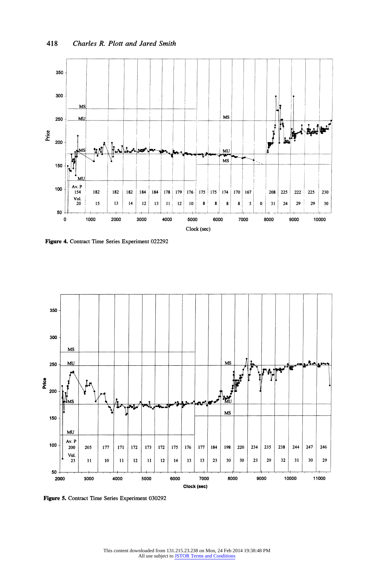

**Figure 4. Contract Time Series Experiment 022292** 



**Figure 5. Contract Time Series Experiment 030292**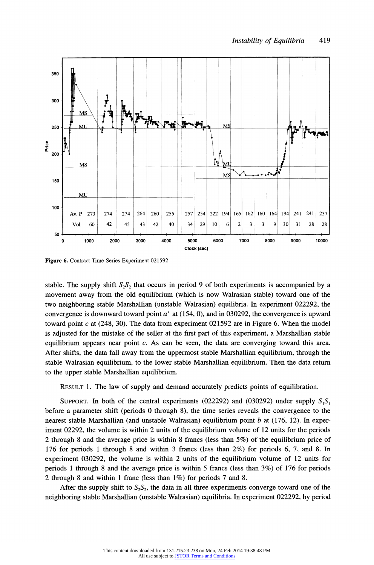

**Figure 6. Contract Time Series Experiment 021592** 

stable. The supply shift  $S_2S_2$  that occurs in period 9 of both experiments is accompanied by a **movement away from the old equilibrium (which is now Walrasian stable) toward one of the two neighboring stable Marshallian (unstable Walrasian) equilibria. In experiment 022292, the convergence is downward toward point a' at (154, 0), and in 030292, the convergence is upward toward point c at (248, 30). The data from experiment 021592 are in Figure 6. When the model is adjusted for the mistake of the seller at the first part of this experiment, a Marshallian stable equilibrium appears near point c. As can be seen, the data are converging toward this area. After shifts, the data fall away from the uppermost stable Marshallian equilibrium, through the stable Walrasian equilibrium, to the lower stable Marshallian equilibrium. Then the data return to the upper stable Marshallian equilibrium.** 

**RESULT 1. The law of supply and demand accurately predicts points of equilibration.** 

**SUPPORT.** In both of the central experiments (022292) and (030292) under supply  $S_1S_1$ **before a parameter shift (periods 0 through 8), the time series reveals the convergence to the nearest stable Marshallian (and unstable Walrasian) equilibrium point b at (176, 12). In experiment 02292, the volume is within 2 units of the equilibrium volume of 12 units for the periods 2 through 8 and the average price is within 8 francs (less than 5%) of the equilibrium price of 176 for periods 1 through 8 and within 3 francs (less than 2%) for periods 6, 7, and 8. In experiment 030292, the volume is within 2 units of the equilibrium volume of 12 units for periods 1 through 8 and the average price is within 5 francs (less than 3%) of 176 for periods 2 through 8 and within 1 franc (less than 1%) for periods 7 and 8.** 

After the supply shift to  $S_2S_2$ , the data in all three experiments converge toward one of the **neighboring stable Marshallian (unstable Walrasian) equilibria. In experiment 022292, by period**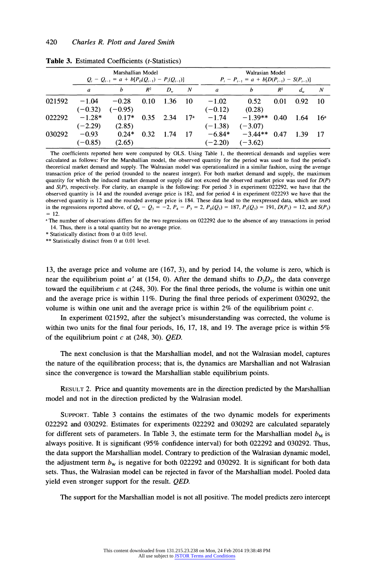|        |                       | Marshallian Model<br>$Q_i - Q_{i-1} = a + b[P_D(Q_{i-1}) - P_i(Q_{i-1})]$ |       |      |                 | Walrasian Model<br>$P_i - P_{i-1} = a + b[D(P_{i-1}) - S(P_{i-1})]$ |                        |       |              |                 |  |
|--------|-----------------------|---------------------------------------------------------------------------|-------|------|-----------------|---------------------------------------------------------------------|------------------------|-------|--------------|-----------------|--|
|        | a                     | b                                                                         | $R^2$ | D.   | N               | a                                                                   | b                      | $R^2$ | $d_{\omega}$ | N               |  |
| 021592 | $-1.04$<br>$(-0.32)$  | $-0.28$<br>$(-0.95)$                                                      | 0.10  | 1.36 | 10              | $-1.02$<br>$(-0.12)$                                                | 0.52<br>(0.28)         | 0.01  | 0.92         | - 10            |  |
| 022292 | $-1.28*$<br>$(-2.29)$ | $0.17*$<br>(2.85)                                                         | 0.35  | 2.34 | 17 <sup>a</sup> | $-1.74$<br>$(-1.38)$                                                | $-1.39**$<br>$(-3.07)$ | 0.40  | 1.64         | 16 <sup>a</sup> |  |
| 030292 | $-0.93$<br>$(-0.85)$  | $0.24*$<br>(2.65)                                                         | 0.32  | 1.74 | 17              | $-6.84*$<br>$(-2.20)$                                               | $-3.44**$<br>$(-3.62)$ | 0.47  | 1.39         | -17             |  |

**Table 3. Estimated Coefficients (t-Statistics)** 

**The coefficients reported here were computed by OLS. Using Table 1, the theoretical demands and supplies were calculated as follows: For the Marshallian model, the observed quantity for the period was used to find the period's theoretical market demand and supply. The Walrasian model was operationalized in a similar fashion, using the average transaction price of the period (rounded to the nearest integer). For both market demand and supply, the maximum**  quantity for which the induced market demand or supply did not exceed the observed market price was used for  $D(P)$ and S(P), respectively. For clarity, an example is the following: For period 3 in experiment 022292, we have that the **observed quantity is 14 and the rounded average price is 182, and for period 4 in experiment 022293 we have that the observed quantity is 12 and the rounded average price is 184. These data lead to the reexpressed data, which are used**  in the regressions reported above, of  $Q_4 - Q_3 = -2$ ,  $P_4 - P_3 = 2$ ,  $P_6(Q_3) = 187$ ,  $P_5(Q_3) = 191$ ,  $D(P_3) = 12$ , and  $S(P_3)$  $= 12.$ 

**a The number of observations differs for the two regressions on 022292 due to the absence of any transactions in period 14. Thus, there is a total quantity but no average price.** 

**\* Statistically distinct from 0 at 0.05 level.** 

**\*\* Statistically distinct from 0 at 0.01 level.** 

**13, the average price and volume are (167, 3), and by period 14, the volume is zero, which is near the equilibrium point**  $a'$  **at (154, 0). After the demand shifts to**  $D_2D_2$ **, the data converge** toward the equilibrium  $c$  at (248, 30). For the final three periods, the volume is within one unit **and the average price is within 11%. During the final three periods of experiment 030292, the volume is within one unit and the average price is within 2% of the equilibrium point c.** 

**In experiment 021592, after the subject's misunderstanding was corrected, the volume is within two units for the final four periods, 16, 17, 18, and 19. The average price is within 5% of the equilibrium point c at (248, 30). QED.** 

**The next conclusion is that the Marshallian model, and not the Walrasian model, captures the nature of the equilibration process; that is, the dynamics are Marshallian and not Walrasian since the convergence is toward the Marshallian stable equilibrium points.** 

**RESULT 2. Price and quantity movements are in the direction predicted by the Marshallian model and not in the direction predicted by the Walrasian model.** 

**SUPPORT. Table 3 contains the estimates of the two dynamic models for experiments 022292 and 030292. Estimates for experiments 022292 and 030292 are calculated separately**  for different sets of parameters. In Table 3, the estimate term for the Marshallian model  $b_M$  is **always positive. It is significant (95% confidence interval) for both 022292 and 030292. Thus, the data support the Marshallian model. Contrary to prediction of the Walrasian dynamic model,**  the adjustment term  $b_w$  is negative for both 022292 and 030292. It is significant for both data **sets. Thus, the Walrasian model can be rejected in favor of the Marshallian model. Pooled data yield even stronger support for the result. QED.** 

**The support for the Marshallian model is not all positive. The model predicts zero intercept**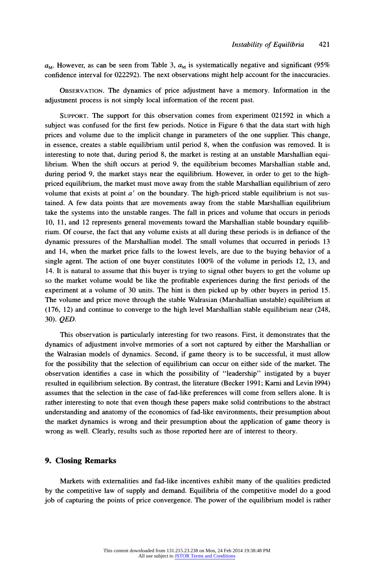$a_M$ . However, as can be seen from Table 3,  $a_M$  is systematically negative and significant (95%) **confidence interval for 022292). The next observations might help account for the inaccuracies.** 

**OBSERVATION. The dynamics of price adjustment have a memory. Information in the adjustment process is not simply local information of the recent past.** 

**SUPPORT. The support for this observation comes from experiment 021592 in which a subject was confused for the first few periods. Notice in Figure 6 that the data start with high prices and volume due to the implicit change in parameters of the one supplier. This change, in essence, creates a stable equilibrium until period 8, when the confusion was removed. It is interesting to note that, during period 8, the market is resting at an unstable Marshallian equilibrium. When the shift occurs at period 9, the equilibrium becomes Marshallian stable and,**  during period 9, the market stays near the equilibrium. However, in order to get to the high**priced equilibrium, the market must move away from the stable Marshallian equilibrium of zero volume that exists at point a' on the boundary. The high-priced stable equilibrium is not sustained. A few data points that are movements away from the stable Marshallian equilibrium take the systems into the unstable ranges. The fall in prices and volume that occurs in periods 10, 11, and 12 represents general movements toward the Marshallian stable boundary equilibrium. Of course, the fact that any volume exists at all during these periods is in defiance of the dynamic pressures of the Marshallian model. The small volumes that occurred in periods 13 and 14, when the market price falls to the lowest levels, are due to the buying behavior of a single agent. The action of one buyer constitutes 100% of the volume in periods 12, 13, and 14. It is natural to assume that this buyer is trying to signal other buyers to get the volume up so the market volume would be like the profitable experiences during the first periods of the experiment at a volume of 30 units. The hint is then picked up by other buyers in period 15. The volume and price move through the stable Walrasian (Marshallian unstable) equilibrium at (176, 12) and continue to converge to the high level Marshallian stable equilibrium near (248, 30). QED.** 

**This observation is particularly interesting for two reasons. First, it demonstrates that the dynamics of adjustment involve memories of a sort not captured by either the Marshallian or the Walrasian models of dynamics. Second, if game theory is to be successful, it must allow for the possibility that the selection of equilibrium can occur on either side of the market. The observation identifies a case in which the possibility of "leadership" instigated by a buyer resulted in equilibrium selection. By contrast, the literature (Becker 1991; Karni and Levin 1994) assumes that the selection in the case of fad-like preferences will come from sellers alone. It is rather interesting to note that even though these papers make solid contributions to the abstract understanding and anatomy of the economics of fad-like environments, their presumption about the market dynamics is wrong and their presumption about the application of game theory is wrong as well. Clearly, results such as those reported here are of interest to theory.** 

#### **9. Closing Remarks**

**Markets with externalities and fad-like incentives exhibit many of the qualities predicted by the competitive law of supply and demand. Equilibria of the competitive model do a good job of capturing the points of price convergence. The power of the equilibrium model is rather**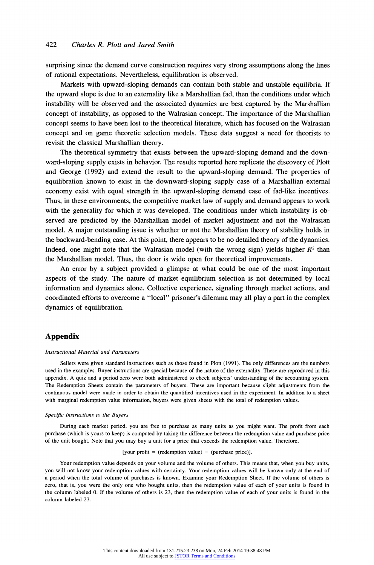**surprising since the demand curve construction requires very strong assumptions along the lines of rational expectations. Nevertheless, equilibration is observed.** 

**Markets with upward-sloping demands can contain both stable and unstable equilibria. If the upward slope is due to an externality like a Marshallian fad, then the conditions under which instability will be observed and the associated dynamics are best captured by the Marshallian concept of instability, as opposed to the Walrasian concept. The importance of the Marshallian concept seems to have been lost to the theoretical literature, which has focused on the Walrasian concept and on game theoretic selection models. These data suggest a need for theorists to revisit the classical Marshallian theory.** 

**The theoretical symmetry that exists between the upward-sloping demand and the downward-sloping supply exists in behavior. The results reported here replicate the discovery of Plott and George (1992) and extend the result to the upward-sloping demand. The properties of equilibration known to exist in the downward-sloping supply case of a Marshallian external economy exist with equal strength in the upward-sloping demand case of fad-like incentives. Thus, in these environments, the competitive market law of supply and demand appears to work with the generality for which it was developed. The conditions under which instability is observed are predicted by the Marshallian model of market adjustment and not the Walrasian model. A major outstanding issue is whether or not the Marshallian theory of stability holds in the backward-bending case. At this point, there appears to be no detailed theory of the dynamics.**  Indeed, one might note that the Walrasian model (with the wrong sign) yields higher  $R<sup>2</sup>$  than **the Marshallian model. Thus, the door is wide open for theoretical improvements.** 

**An error by a subject provided a glimpse at what could be one of the most important aspects of the study. The nature of market equilibrium selection is not determined by local information and dynamics alone. Collective experience, signaling through market actions, and coordinated efforts to overcome a "local" prisoner's dilemma may all play a part in the complex dynamics of equilibration.** 

### **Appendix**

#### **Instructional Material and Parameters**

**Sellers were given standard instructions such as those found in Plott (1991). The only differences are the numbers used in the examples. Buyer instructions are special because of the nature of the externality. These are reproduced in this appendix. A quiz and a period zero were both administered to check subjects' understanding of the accounting system. The Redemption Sheets contain the parameters of buyers. These are important because slight adjustments from the continuous model were made in order to obtain the quantified incentives used in the experiment. In addition to a sheet with marginal redemption value information, buyers were given sheets with the total of redemption values.** 

#### **Specific Instructions to the Buyers**

**During each market period, you are free to purchase as many units as you might want. The profit from each purchase (which is yours to keep) is computed by taking the difference between the redemption value and purchase price of the unit bought. Note that you may buy a unit for a price that exceeds the redemption value. Therefore,** 

[your profit = (redemption value) - (purchase price)].

**Your redemption value depends on your volume and the volume of others. This means that, when you buy units, you will not know your redemption values with certainty. Your redemption values will be known only at the end of a period when the total volume of purchases is known. Examine your Redemption Sheet. If the volume of others is zero, that is, you were the only one who bought units, then the redemption value of each of your units is found in the column labeled 0. If the volume of others is 23, then the redemption value of each of your units is found in the column labeled 23.**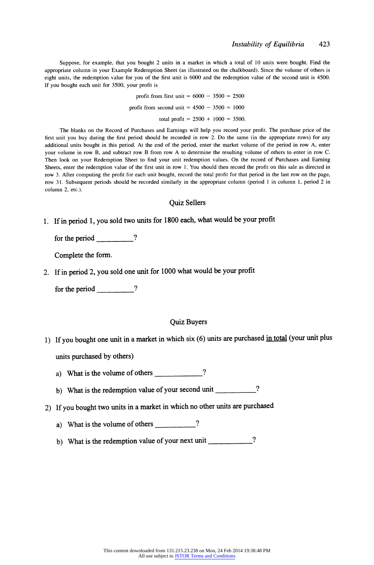**Suppose, for example, that you bought 2 units in a market in which a total of 10 units were bought. Find the appropriate column in your Example Redemption Sheet (as illustrated on the chalkboard). Since the volume of others is eight units, the redemption value for you of the first unit is 6000 and the redemption value of the second unit is 4500. If you bought each unit for 3500, your profit is** 

> **profit from first unit =**  $6000 - 3500 = 2500$ **profit from second unit =**  $4500 - 3500 = 1000$ **total profit = 2500 + 1000 = 3500.**

**The blanks on the Record of Purchases and Earnings will help you record your profit. The purchase price of the first unit you buy during the first period should be recorded in row 2. Do the same (in the appropriate rows) for any additional units bought in this period. At the end of the period, enter the market volume of the period in row A, enter your volume in row B, and subtract row B from row A to determine the resulting volume of others to enter in row C. Then look on your Redemption Sheet to find your unit redemption values. On the record of Purchases and Earning Sheets, enter the redemption value of the first unit in row 1. You should then record the profit on this sale as directed in row 3. After computing the profit for each unit bought, record the total profit for that period in the last row on the page, row 31. Subsequent periods should be recorded similarly in the appropriate column (period 1 in column 1, period 2 in column 2, etc.).** 

#### **Quiz Sellers**

**1. If in period 1, you sold two units for 1800 each, what would be your profit** 

**for the period ?** 

**Complete the form.** 

**2. If in period 2, you sold one unit for 1000 what would be your profit** 

for the period \_\_\_\_\_\_\_\_\_\_?

#### **Quiz Buyers**

**1) If you bought one unit in a market in which six (6) units are purchased in total (your unit plus** 

**units purchased by others)** 

- a) What is the volume of others <u>2</u>
- **b) What is the redemption value of your second unit**   $\cdot$
- **2) If you bought two units in a market in which no other units are purchased** 
	- a) What is the volume of others \_\_\_\_\_\_\_\_\_?
	- b) What is the redemption value of your next unit \_\_\_\_\_\_\_\_\_\_\_\_?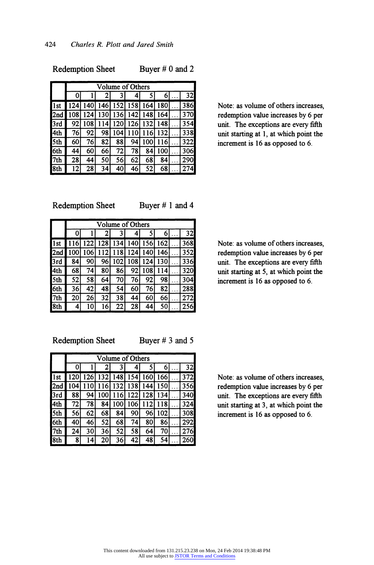## **Redemption Sheet**

Buyer 
$$
# 0
$$
 and  $2$ 

|     |     | Volume of Others |       |     |                 |      |     |  |                 |  |  |  |  |
|-----|-----|------------------|-------|-----|-----------------|------|-----|--|-----------------|--|--|--|--|
|     |     |                  |       |     | 4               |      | 6   |  | $\overline{32}$ |  |  |  |  |
| 1st | 124 | 140 I            |       |     | 146 152 158 164 |      | 180 |  | 386             |  |  |  |  |
| 2nd | 108 | 124              | 130 l |     | 136   142   148 |      | 164 |  | 370             |  |  |  |  |
| 3rd | 92  | 108              | 114   | 120 | 126             | 1321 | 148 |  | 354             |  |  |  |  |
| 4th | 76  | 92               | 98    | 104 | 110             | 116  | 132 |  | 338             |  |  |  |  |
| 5th | 60  | 76               | 82    | 88  | 94              | 100  | 116 |  | 322             |  |  |  |  |
| 6th | 44  | 60               | 66    | 721 | 78              | 84   | 100 |  | 306             |  |  |  |  |
| 7th | 28  | 44               | 50    | 56  | 62              | 68   | 84  |  | 290             |  |  |  |  |
| 8th | 12  | 28               | 34    | 40  | 46              | 52   | 68  |  | 274             |  |  |  |  |

**Note: as volume of others increases, redemption value increases by 6 per unit. The exceptions are every fifth unit starting at 1, at which point the increment is 16 as opposed to 6.** 

**Ruyer # 1 and 4** 

|        |     | <b>Volume of Others</b> |                 |     |      |             |     |  |     |  |  |  |  |
|--------|-----|-------------------------|-----------------|-----|------|-------------|-----|--|-----|--|--|--|--|
|        | 0   |                         |                 |     | 4    |             | 6   |  | 32  |  |  |  |  |
| l 1 st | 116 | $\overline{122}$        | 128             | 134 |      | 140 156 162 |     |  | 368 |  |  |  |  |
| 2nd    | 100 | <b>106</b>              | 112l            | 118 |      | 124 140 146 |     |  | 352 |  |  |  |  |
| 13rd   | 84  | 90                      | 96              | 102 | 108  | 124         | 130 |  | 336 |  |  |  |  |
| 4th    | 68  | 741                     | 80 <sup>2</sup> | 86  | 92 I | 108         | 114 |  | 320 |  |  |  |  |
| 5th    | 52  | 58                      | 64              | 70  | 76   | 92          | 98  |  | 304 |  |  |  |  |
| 6th    | 36  | 42                      | 48              | 54  | 60   | 76          | 82  |  | 288 |  |  |  |  |
| 7th    | 20  | 261                     | 32              | 38  | 44   | 60          | 66  |  | 272 |  |  |  |  |
| 8th    | 4   | 10                      | 16              | 22  | 28   | 44          | 50  |  | 256 |  |  |  |  |

**Redemption Sheet Buyer # 3 and 5** 

|      |     | Volume of Others |     |      |                     |     |     |  |     |  |  |  |  |
|------|-----|------------------|-----|------|---------------------|-----|-----|--|-----|--|--|--|--|
|      |     |                  |     |      | 4                   |     | 6   |  | 32  |  |  |  |  |
| l st | 120 | $\overline{126}$ |     |      | 132 148 154 160 166 |     |     |  | 372 |  |  |  |  |
| 2nd  | 104 | 110              | 116 | 132  | 138                 | 144 | 150 |  | 356 |  |  |  |  |
| 3rd  | 88  | 941              | 100 | 1161 | 122 I               | 128 | 134 |  | 340 |  |  |  |  |
| 4th  | 72  | 78               | 84  | 100  | 106                 | 112 | 118 |  | 324 |  |  |  |  |
| 5th  | 56  | 62               | 68  | 84   | 90                  | 96  | 102 |  | 308 |  |  |  |  |
| 6th  | 40  | 46               | 52  | 68   | 74                  | 80  | 86  |  | 292 |  |  |  |  |
| 7th  | 24  | 30               | 36  | 52   | 58                  | 64  | 70  |  | 276 |  |  |  |  |
| 8th  | 8   | 14               | 20  | 36   | 42                  | 48  | 54  |  | 260 |  |  |  |  |

**Note: as volume of others increases, redemption value increases by 6 per unit. The exceptions are every fifth unit starting at 5, at which point the increment is 16 as opposed to 6.** 

**Note: as volume of others increases, redemption value increases by 6 per unit. The exceptions are every fifth unit starting at 3, at which point the increment is 16 as opposed to 6.**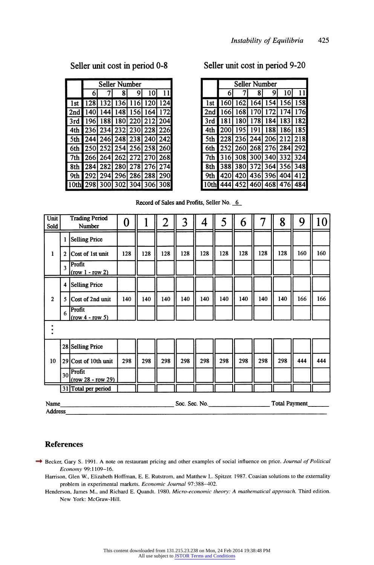|       |                                         | Seller Number                     |     |  |
|-------|-----------------------------------------|-----------------------------------|-----|--|
|       | 61                                      | 7 8 9                             | 101 |  |
| 1st   |                                         | 128 132 136 116 120 124           |     |  |
| 2nd   |                                         | 140   144   148   156   164   172 |     |  |
| 3rd   |                                         | 196 188 180 220 212 204           |     |  |
| 4th l |                                         | 236 234 232 230 228 226           |     |  |
|       | 5th 244 246 248 238 240 242             |                                   |     |  |
|       | 6th 250 252 254 256 258 260             |                                   |     |  |
|       | 7th 266 264 262 272 270 268             |                                   |     |  |
|       | 8th 284 282 280 278 276 274             |                                   |     |  |
|       | 9th   292   294   296   286   288   290 |                                   |     |  |
| 10thl | 298 300 302 304 306 308                 |                                   |     |  |

**Seller unit cost in period 0-8** 

**Seller unit cost in period 9-20** 

|      |    | Seller Number |  |           |                                       |     |  |  |  |  |  |  |
|------|----|---------------|--|-----------|---------------------------------------|-----|--|--|--|--|--|--|
|      | 61 |               |  | 81.<br>91 | 10                                    |     |  |  |  |  |  |  |
| 1st  |    |               |  |           | 160 162 164 154 156 158               |     |  |  |  |  |  |  |
| 2nd  |    |               |  |           | 166  168  170  172  174  176          |     |  |  |  |  |  |  |
|      |    |               |  |           | 3rd 181   180   178   184   183   182 |     |  |  |  |  |  |  |
|      |    |               |  |           | 4th 200 195 191 188 186 185           |     |  |  |  |  |  |  |
|      |    |               |  |           | 5th 228 236 244 206 212 218           |     |  |  |  |  |  |  |
|      |    |               |  |           | 6th 252 260 268 276 284 292           |     |  |  |  |  |  |  |
|      |    |               |  |           | 7th 316 308 300 340 332 324           |     |  |  |  |  |  |  |
| 8th  |    |               |  |           | 388 380 372 364 356 348               |     |  |  |  |  |  |  |
|      |    |               |  |           | 9th 420 420 436 396 404 412           |     |  |  |  |  |  |  |
| 10th |    |               |  |           | 444 452 460 468 476                   | 484 |  |  |  |  |  |  |

Record of Sales and Profits, Seller No. 6

| Unit<br>Sold   |                                       | <b>Trading Period</b><br>Number           | 0   |     | 2   | 3   | 4   | 5   | 6   |     | 8   | 9   | 10  |
|----------------|---------------------------------------|-------------------------------------------|-----|-----|-----|-----|-----|-----|-----|-----|-----|-----|-----|
|                | ı                                     | Selling Price                             |     |     |     |     |     |     |     |     |     |     |     |
| $\mathbf{1}$   | $\mathbf{2}$                          | Cost of 1st unit                          | 128 | 128 | 128 | 128 | 128 | 128 | 128 | 128 | 128 | 160 | 160 |
|                | $\mathbf{3}$                          | Profit<br>$(row 1 - row 2)$               |     |     |     |     |     |     |     |     |     |     |     |
|                | 4                                     | <b>Selling Price</b>                      |     |     |     |     |     |     |     |     |     |     |     |
| $\overline{2}$ | 5                                     | Cost of 2nd unit                          | 140 | 140 | 140 | 140 | 140 | 140 | 140 | 140 | 140 | 166 | 166 |
|                | 6                                     | Profit<br>$(row 4 - row 5)$               |     |     |     |     |     |     |     |     |     |     |     |
|                |                                       |                                           |     |     |     |     |     |     |     |     |     |     |     |
|                |                                       | 28 Selling Price                          |     |     |     |     |     |     |     |     |     |     |     |
| 10             |                                       | 29 Cost of 10th unit                      | 298 | 298 | 298 | 298 | 298 | 298 | 298 | 298 | 298 | 444 | 444 |
|                |                                       | $\sqrt{30}$ Profit<br>$(row 28 - row 29)$ |     |     |     |     |     |     |     |     |     |     |     |
|                |                                       | 31 Total per period                       |     |     |     |     |     |     |     |     |     |     |     |
| Name           | Soc. Sec. No.<br><b>Total Payment</b> |                                           |     |     |     |     |     |     |     |     |     |     |     |

**Address** 

## **References**

- **Becker, Gary S. 1991. A note on restaurant pricing and other examples of social influence on price. Journal of Political Economy 99:1109-16.** 
	- **Harrison, Glen W., Elizabeth Hoffman, E. E. Rutstrom, and Matthew L. Spitzer. 1987. Coasian solutions to the externality problem in experimental markets. Economic Journal 97:388-402.**
	- **Henderson, James M., and Richard E. Quandt. 1980. Micro-economic theory: A mathematical approach. Third edition. New York: McGraw-Hill.**